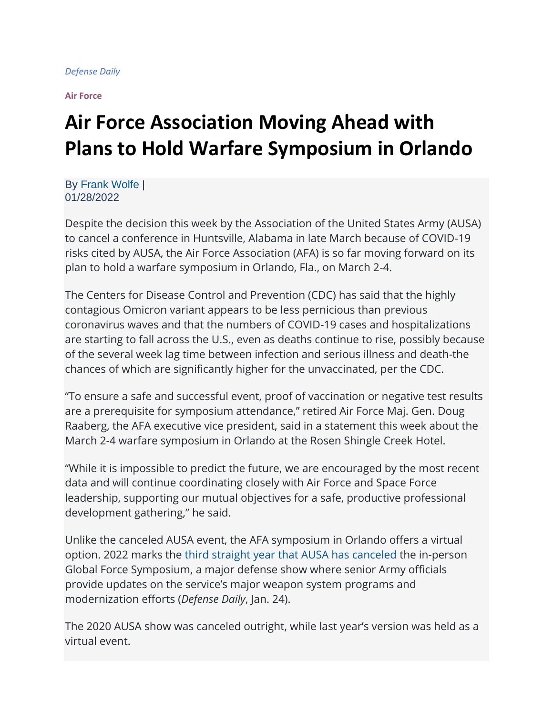**[Air Force](https://www.defensedaily.com/category/air-force/)**

## **Air Force Association Moving Ahead with Plans to Hold Warfare Symposium in Orlando**

By [Frank Wolfe](https://www.defensedaily.com/author/fwolfe/) | 01/28/2022

Despite the decision this week by the Association of the United States Army (AUSA) to cancel a conference in Huntsville, Alabama in late March because of COVID-19 risks cited by AUSA, the Air Force Association (AFA) is so far moving forward on its plan to hold a warfare symposium in Orlando, Fla., on March 2-4.

The Centers for Disease Control and Prevention (CDC) has said that the highly contagious Omicron variant appears to be less pernicious than previous coronavirus waves and that the numbers of COVID-19 cases and hospitalizations are starting to fall across the U.S., even as deaths continue to rise, possibly because of the several week lag time between infection and serious illness and death-the chances of which are significantly higher for the unvaccinated, per the CDC.

"To ensure a safe and successful event, proof of vaccination or negative test results are a prerequisite for symposium attendance," retired Air Force Maj. Gen. Doug Raaberg, the AFA executive vice president, said in a statement this week about the March 2-4 warfare symposium in Orlando at the Rosen Shingle Creek Hotel.

"While it is impossible to predict the future, we are encouraged by the most recent data and will continue coordinating closely with Air Force and Space Force leadership, supporting our mutual objectives for a safe, productive professional development gathering," he said.

Unlike the canceled AUSA event, the AFA symposium in Orlando offers a virtual option. 2022 marks the [third straight year that AUSA has canceled](https://www.defensedaily.com/ausa-cancels-marchs-global-force-symposium-due-to-covid-concerns/army/) the in-person Global Force Symposium, a major defense show where senior Army officials provide updates on the service's major weapon system programs and modernization efforts (*Defense Daily*, Jan. 24).

The 2020 AUSA show was canceled outright, while last year's version was held as a virtual event.